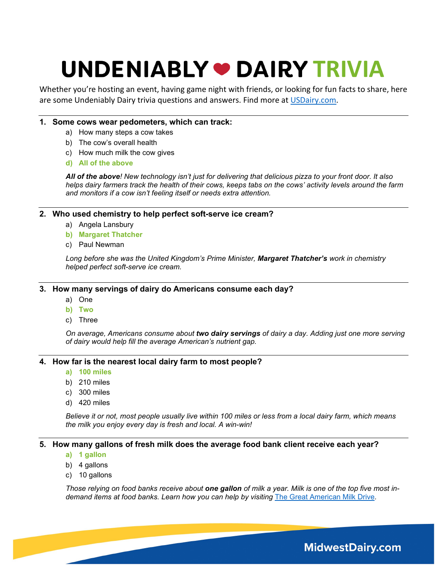Whether you're hosting an event, having game night with friends, or looking for fun facts to share, here are some Undeniably Dairy trivia questions and answers. Find more at [USDairy.com.](https://www.usdairy.com/)

#### **1. Some cows wear pedometers, which can track:**

- a) How many steps a cow takes
- b) The cow's overall health
- c) How much milk the cow gives
- **d) All of the above**

*All of the above! New technology isn't just for delivering that delicious pizza to your front door. It also helps dairy farmers track the health of their cows, keeps tabs on the cows' activity levels around the farm and monitors if a cow isn't feeling itself or needs extra attention.*

#### **2. Who used chemistry to help perfect soft-serve ice cream?**

- a) Angela Lansbury
- **b) Margaret Thatcher**
- c) Paul Newman

*Long before she was the United Kingdom's Prime Minister, Margaret Thatcher's work in chemistry helped perfect soft-serve ice cream.* 

#### **3. How many servings of dairy do Americans consume each day?**

- a) One
- **b) Two**
- c) Three

*On average, Americans consume about two dairy servings of dairy a day. Adding just one more serving of dairy would help fill the average American's nutrient gap.* 

#### **4. How far is the nearest local dairy farm to most people?**

- **a) 100 miles**
- b) 210 miles
- c) 300 miles
- d) 420 miles

*Believe it or not, most people usually live within 100 miles or less from a local dairy farm, which means the milk you enjoy every day is fresh and local. A win-win!* 

#### **5. How many gallons of fresh milk does the average food bank client receive each year?**

- **a) 1 gallon**
- b) 4 gallons
- c) 10 gallons

*Those relying on food banks receive about one gallon of milk a year. Milk is one of the top five most indemand items at food banks. Learn how you can help by visiting* [The Great American Milk Drive](https://milklife.com/give/about)*.*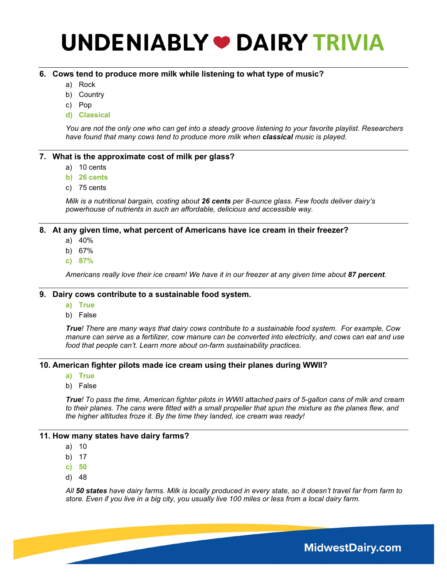#### **6. Cows tend to produce more milk while listening to what type of music?**

- a) Rock
- b) Country
- c) Pop
- **d) Classical**

*You are not the only one who can get into a steady groove listening to your favorite playlist. Researchers have found that many cows tend to produce more milk when classical music is played.*

#### **7. What is the approximate cost of milk per glass?**

- a) 10 cents
- **b) 26 cents**
- c) 75 cents

*Milk is a nutritional bargain, costing about 26 cents per 8-ounce glass. Few foods deliver dairy's powerhouse of nutrients in such an affordable, delicious and accessible way.*

#### **8. At any given time, what percent of Americans have ice cream in their freezer?**

- a) 40%
- b) 67%
- **c) 87%**

*Americans really love their ice cream! We have it in our freezer at any given time about 87 percent.* 

#### **9. Dairy cows contribute to a sustainable food system.**

- **a) True**
- b) False

*True! There are many ways that dairy cows contribute to a sustainable food system. For example, Cow manure can serve as a fertilizer, cow manure can be converted into electricity, and cows can eat and use food that people can't. [Learn more](https://www.midwestdairy.com/farm-life/dairy-sustainability/) about on-farm sustainability practices.*

### **10. American fighter pilots made ice cream using their planes during WWII?**

- **a) True**
- b) False

*True! To pass the time, American fighter pilots in WWII attached pairs of 5-gallon cans of milk and cream*  to their planes. The cans were fitted with a small propeller that spun the mixture as the planes flew, and *the higher altitudes froze it. By the time they landed, ice cream was ready!* 

#### **11. How many states have dairy farms?**

- a) 10
- b) 17
- **c) 50**
- d) 48

*All 50 states have dairy farms. Milk is locally produced in every state, so it doesn't travel far from farm to store. Even if you live in a big city, you usually live 100 miles or less from a local dairy farm.*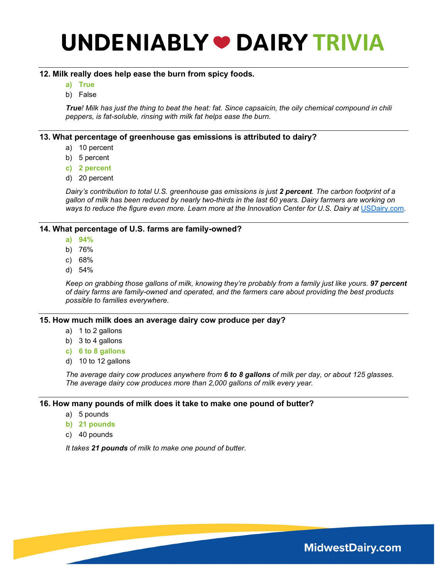### **12. Milk really does help ease the burn from spicy foods.**

- **a) True**
- b) False

*True! Milk has just the thing to beat the heat: fat. Since capsaicin, the oily chemical compound in chili peppers, is fat-soluble, rinsing with milk fat helps ease the burn.*

### **13. What percentage of greenhouse gas emissions is attributed to dairy?**

- a) 10 percent
- b) 5 percent
- **c) 2 percent**
- d) 20 percent

*Dairy's contribution to total U.S. greenhouse gas emissions is just 2 percent. The carbon footprint of a gallon of milk has been reduced by nearly two-thirds in the last 60 years. Dairy farmers are working on*  ways to reduce the figure even more. Learn more at the Innovation Center for U.S. Dairy at [USDairy.com](https://www.usdairy.com/).

#### **14. What percentage of U.S. farms are family-owned?**

- **a) 94%**
- b) 76%
- c) 68%
- d) 54%

*Keep on grabbing those gallons of milk, knowing they're probably from a family just like yours. 97 percent of dairy farms are family-owned and operated, and the farmers care about providing the best products possible to families everywhere.* 

#### **15. How much milk does an average dairy cow produce per day?**

- a) 1 to 2 gallons
- b) 3 to 4 gallons
- **c) 6 to 8 gallons**
- d) 10 to 12 gallons

*The average dairy cow produces anywhere from 6 to 8 gallons of milk per day, or about 125 glasses. The average dairy cow produces more than 2,000 gallons of milk every year.*

#### **16. How many pounds of milk does it take to make one pound of butter?**

- a) 5 pounds
- **b) 21 pounds**
- c) 40 pounds

*It takes 21 pounds of milk to make one pound of butter.*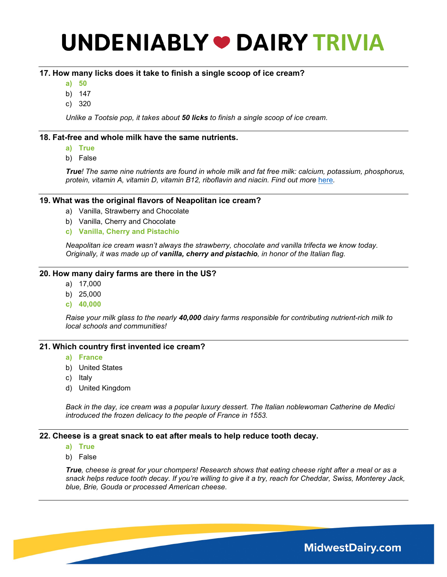### **17. How many licks does it take to finish a single scoop of ice cream?**

- **a) 50**
- b) 147
- c) 320

*Unlike a Tootsie pop, it takes about 50 licks to finish a single scoop of ice cream.*

#### **18. Fat-free and whole milk have the same nutrients.**

- **a) True**
- b) False

*True! The same nine nutrients are found in whole milk and fat free milk: calcium, potassium, phosphorus, protein, vitamin A, vitamin D, vitamin B12, riboflavin and niacin. Find out more [here](https://www.midwestdairy.com/nutrition-and-health/dairy-nutrition/milk/).* 

#### **19. What was the original flavors of Neapolitan ice cream?**

- a) Vanilla, Strawberry and Chocolate
- b) Vanilla, Cherry and Chocolate
- **c) Vanilla, Cherry and Pistachio**

*Neapolitan ice cream wasn't always the strawberry, chocolate and vanilla trifecta we know today. Originally, it was made up of vanilla, cherry and pistachio, in honor of the Italian flag.* 

#### **20. How many dairy farms are there in the US?**

- a) 17,000
- b) 25,000
- **c) 40,000**

*Raise your milk glass to the nearly 40,000 dairy farms responsible for contributing nutrient-rich milk to local schools and communities!*

#### **21. Which country first invented ice cream?**

- **a) France**
- b) United States
- c) Italy
- d) United Kingdom

*Back in the day, ice cream was a popular luxury dessert. The Italian noblewoman Catherine de Medici introduced the frozen delicacy to the people of France in 1553.* 

#### **22. Cheese is a great snack to eat after meals to help reduce tooth decay.**

- **a) True**
- b) False

*True, cheese is great for your chompers! Research shows that eating cheese right after a meal or as a snack helps reduce tooth decay. If you're willing to give it a try, reach for Cheddar, Swiss, Monterey Jack, blue, Brie, Gouda or processed American cheese.*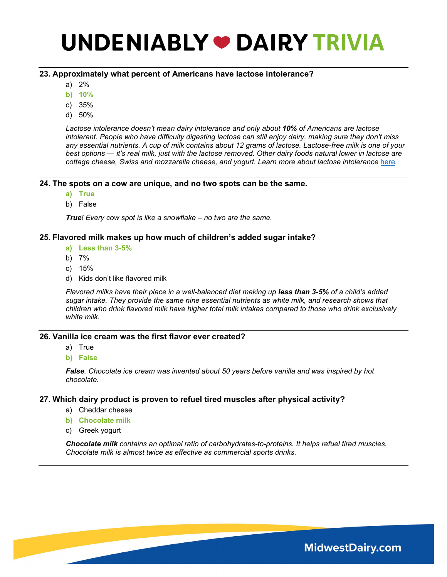### **23. Approximately what percent of Americans have lactose intolerance?**

- a) 2%
- **b) 10%**
- c) 35%
- d) 50%

*Lactose intolerance doesn't mean dairy intolerance and only about 10% of Americans are lactose intolerant. People who have difficulty digesting lactose can still enjoy dairy, making sure they don't miss any essential nutrients. A cup of milk contains about 12 grams of lactose. Lactose-free milk is one of your best options — it's real milk, just with the lactose removed. Other dairy foods natural lower in lactose are cottage cheese, Swiss and mozzarella cheese, and yogurt. Learn more about lactose intolerance* [here](https://dairygood.org/content/2016/lactose-intolerance-facts)*.* 

#### **24. The spots on a cow are unique, and no two spots can be the same.**

- **a) True**
- b) False

*True! Every cow spot is like a snowflake – no two are the same.*

#### **25. Flavored milk makes up how much of children's added sugar intake?**

- **a) Less than 3-5%**
- b) 7%
- c) 15%
- d) Kids don't like flavored milk

*Flavored milks have their place in a well-balanced diet making up less than 3-5% of a child's added sugar intake. They provide the same nine essential nutrients as white milk, and research shows that children who drink flavored milk have higher total milk intakes compared to those who drink exclusively white milk.*

#### **26. Vanilla ice cream was the first flavor ever created?**

- a) True
- **b) False**

*False. Chocolate ice cream was invented about 50 years before vanilla and was inspired by hot chocolate.*

#### **27. Which dairy product is proven to refuel tired muscles after physical activity?**

- a) Cheddar cheese
- **b) Chocolate milk**
- c) Greek yogurt

*Chocolate milk contains an optimal ratio of carbohydrates-to-proteins. It helps [refuel tired muscles.](https://www.midwestdairy.com/nutrition-and-health/dairy-nutrition/milk/) Chocolate milk is almost twice as effective as commercial sports drinks.*